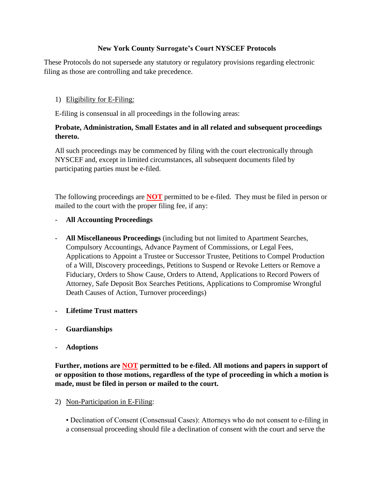# **New York County Surrogate's Court NYSCEF Protocols**

These Protocols do not supersede any statutory or regulatory provisions regarding electronic filing as those are controlling and take precedence.

## 1) Eligibility for E-Filing:

E-filing is consensual in all proceedings in the following areas:

# **Probate, Administration, Small Estates and in all related and subsequent proceedings thereto.**

All such proceedings may be commenced by filing with the court electronically through NYSCEF and, except in limited circumstances, all subsequent documents filed by participating parties must be e-filed.

The following proceedings are **NOT** permitted to be e-filed. They must be filed in person or mailed to the court with the proper filing fee, if any:

### - **All Accounting Proceedings**

- **All Miscellaneous Proceedings** (including but not limited to Apartment Searches, Compulsory Accountings, Advance Payment of Commissions, or Legal Fees, Applications to Appoint a Trustee or Successor Trustee, Petitions to Compel Production of a Will, Discovery proceedings, Petitions to Suspend or Revoke Letters or Remove a Fiduciary, Orders to Show Cause, Orders to Attend, Applications to Record Powers of Attorney, Safe Deposit Box Searches Petitions, Applications to Compromise Wrongful Death Causes of Action, Turnover proceedings)
- **Lifetime Trust matters**
- **Guardianships**
- **Adoptions**

**Further, motions are NOT permitted to be e-filed. All motions and papers in support of or opposition to those motions, regardless of the type of proceeding in which a motion is made, must be filed in person or mailed to the court.**

2) Non-Participation in E-Filing:

• Declination of Consent (Consensual Cases): Attorneys who do not consent to e-filing in a consensual proceeding should file a declination of consent with the court and serve the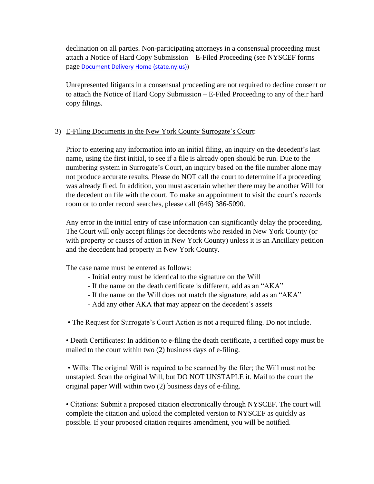declination on all parties. Non-participating attorneys in a consensual proceeding must attach a Notice of Hard Copy Submission – E-Filed Proceeding (see NYSCEF forms page [Document Delivery Home \(state.ny.us\)\)](https://iappscontent.courts.state.ny.us/NYSCEF/live/edds.htm)

Unrepresented litigants in a consensual proceeding are not required to decline consent or to attach the Notice of Hard Copy Submission – E-Filed Proceeding to any of their hard copy filings.

### 3) E-Filing Documents in the New York County Surrogate's Court:

Prior to entering any information into an initial filing, an inquiry on the decedent's last name, using the first initial, to see if a file is already open should be run. Due to the numbering system in Surrogate's Court, an inquiry based on the file number alone may not produce accurate results. Please do NOT call the court to determine if a proceeding was already filed. In addition, you must ascertain whether there may be another Will for the decedent on file with the court. To make an appointment to visit the court's records room or to order record searches, please call (646) 386-5090.

Any error in the initial entry of case information can significantly delay the proceeding. The Court will only accept filings for decedents who resided in New York County (or with property or causes of action in New York County) unless it is an Ancillary petition and the decedent had property in New York County.

The case name must be entered as follows:

- Initial entry must be identical to the signature on the Will
- If the name on the death certificate is different, add as an "AKA"
- If the name on the Will does not match the signature, add as an "AKA"
- Add any other AKA that may appear on the decedent's assets

• The Request for Surrogate's Court Action is not a required filing. Do not include.

• Death Certificates: In addition to e-filing the death certificate, a certified copy must be mailed to the court within two (2) business days of e-filing.

• Wills: The original Will is required to be scanned by the filer; the Will must not be unstapled. Scan the original Will, but DO NOT UNSTAPLE it. Mail to the court the original paper Will within two (2) business days of e-filing.

• Citations: Submit a proposed citation electronically through NYSCEF. The court will complete the citation and upload the completed version to NYSCEF as quickly as possible. If your proposed citation requires amendment, you will be notified.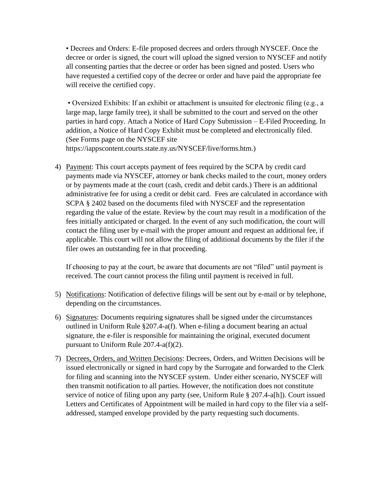• Decrees and Orders: E-file proposed decrees and orders through NYSCEF. Once the decree or order is signed, the court will upload the signed version to NYSCEF and notify all consenting parties that the decree or order has been signed and posted. Users who have requested a certified copy of the decree or order and have paid the appropriate fee will receive the certified copy.

• Oversized Exhibits: If an exhibit or attachment is unsuited for electronic filing (e.g., a large map, large family tree), it shall be submitted to the court and served on the other parties in hard copy. Attach a Notice of Hard Copy Submission – E-Filed Proceeding. In addition, a Notice of Hard Copy Exhibit must be completed and electronically filed. (See Forms page on the NYSCEF site https://iappscontent.courts.state.ny.us/NYSCEF/live/forms.htm.)

4) Payment: This court accepts payment of fees required by the SCPA by credit card payments made via NYSCEF, attorney or bank checks mailed to the court, money orders or by payments made at the court (cash, credit and debit cards.) There is an additional administrative fee for using a credit or debit card. Fees are calculated in accordance with SCPA § 2402 based on the documents filed with NYSCEF and the representation regarding the value of the estate. Review by the court may result in a modification of the fees initially anticipated or charged. In the event of any such modification, the court will contact the filing user by e-mail with the proper amount and request an additional fee, if applicable. This court will not allow the filing of additional documents by the filer if the filer owes an outstanding fee in that proceeding.

If choosing to pay at the court, be aware that documents are not "filed" until payment is received. The court cannot process the filing until payment is received in full.

- 5) Notifications: Notification of defective filings will be sent out by e-mail or by telephone, depending on the circumstances.
- 6) Signatures: Documents requiring signatures shall be signed under the circumstances outlined in Uniform Rule §207.4-a(f). When e-filing a document bearing an actual signature, the e-filer is responsible for maintaining the original, executed document pursuant to Uniform Rule 207.4-a(f)(2).
- 7) Decrees, Orders, and Written Decisions: Decrees, Orders, and Written Decisions will be issued electronically or signed in hard copy by the Surrogate and forwarded to the Clerk for filing and scanning into the NYSCEF system. Under either scenario, NYSCEF will then transmit notification to all parties. However, the notification does not constitute service of notice of filing upon any party (see, Uniform Rule § 207.4-a[h]). Court issued Letters and Certificates of Appointment will be mailed in hard copy to the filer via a selfaddressed, stamped envelope provided by the party requesting such documents.